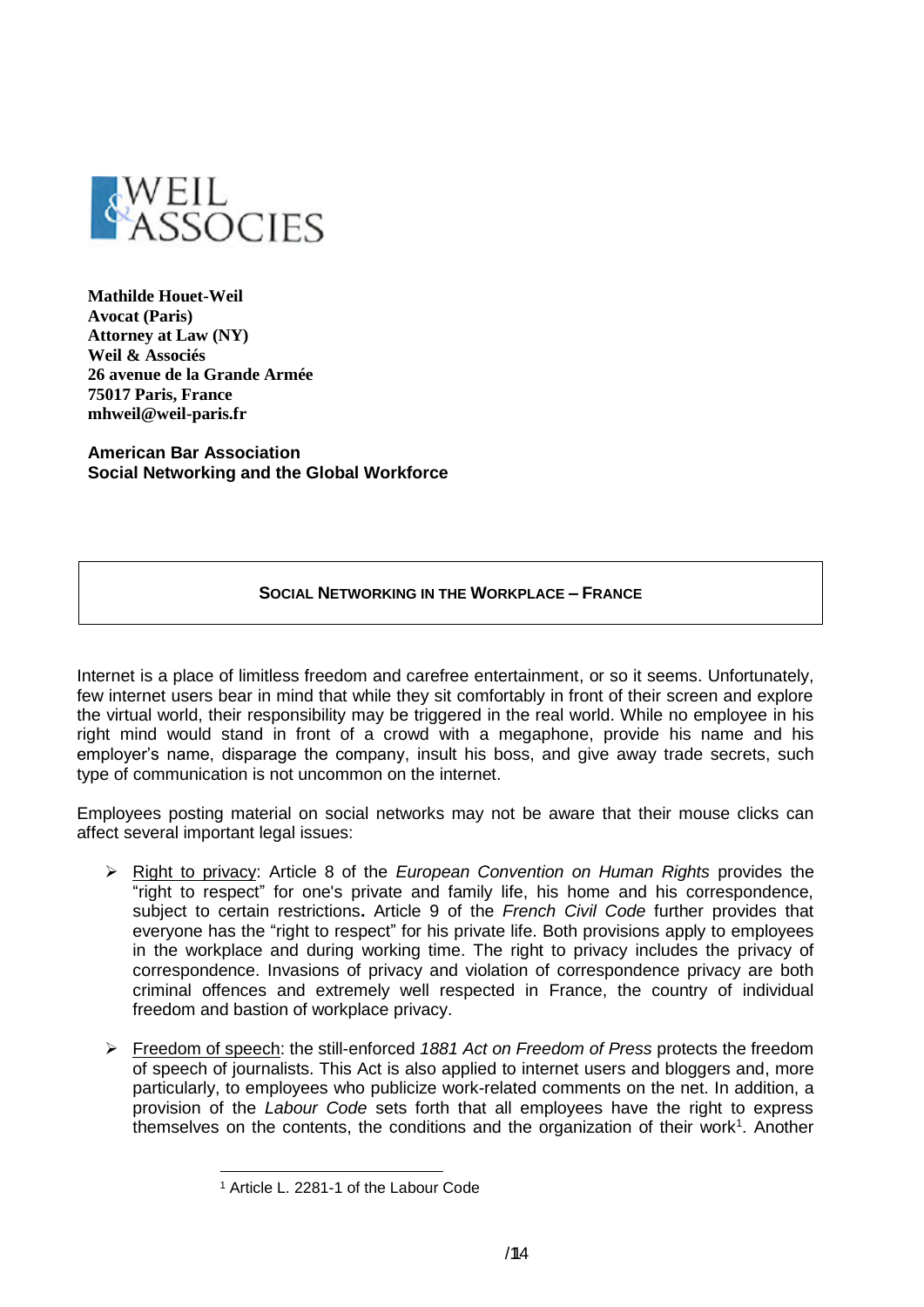

**Mathilde Houet-Weil Avocat (Paris) Attorney at Law (NY) Weil & Associés 26 avenue de la Grande Armée 75017 Paris, France mhweil@weil-paris.fr**

**American Bar Association Social Networking and the Global Workforce**

## **SOCIAL NETWORKING IN THE WORKPLACE – FRANCE**

Internet is a place of limitless freedom and carefree entertainment, or so it seems. Unfortunately, few internet users bear in mind that while they sit comfortably in front of their screen and explore the virtual world, their responsibility may be triggered in the real world. While no employee in his right mind would stand in front of a crowd with a megaphone, provide his name and his employer's name, disparage the company, insult his boss, and give away trade secrets, such type of communication is not uncommon on the internet.

Employees posting material on social networks may not be aware that their mouse clicks can affect several important legal issues:

- Right to privacy: Article 8 of the *European Convention on Human Rights* provides the "right to respect" for one's private and family life, his home and his correspondence, subject to certain restrictions**.** Article 9 of the *French Civil Code* further provides that everyone has the "right to respect" for his private life. Both provisions apply to employees in the workplace and during working time. The right to privacy includes the privacy of correspondence. Invasions of privacy and violation of correspondence privacy are both criminal offences and extremely well respected in France, the country of individual freedom and bastion of workplace privacy.
- Freedom of speech: the still-enforced *1881 Act on Freedom of Press* protects the freedom of speech of journalists. This Act is also applied to internet users and bloggers and, more particularly, to employees who publicize work-related comments on the net. In addition, a provision of the *Labour Code* sets forth that all employees have the right to express themselves on the contents, the conditions and the organization of their work<sup>1</sup>. Another

<sup>1</sup> <sup>1</sup> Article L. 2281-1 of the Labour Code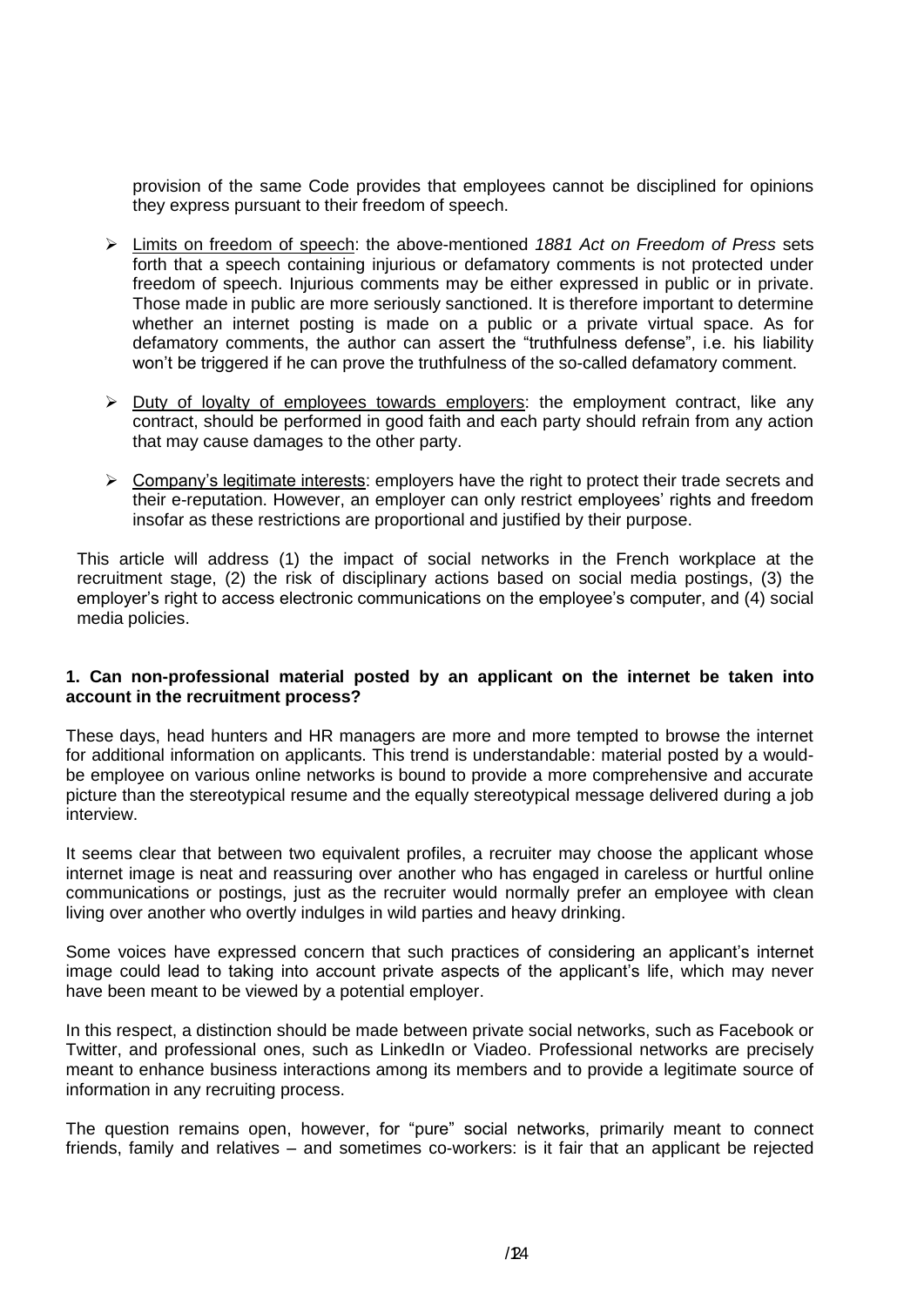provision of the same Code provides that employees cannot be disciplined for opinions they express pursuant to their freedom of speech.

- Limits on freedom of speech: the above-mentioned *1881 Act on Freedom of Press* sets forth that a speech containing injurious or defamatory comments is not protected under freedom of speech. Injurious comments may be either expressed in public or in private. Those made in public are more seriously sanctioned. It is therefore important to determine whether an internet posting is made on a public or a private virtual space. As for defamatory comments, the author can assert the "truthfulness defense", i.e. his liability won't be triggered if he can prove the truthfulness of the so-called defamatory comment.
- $\triangleright$  Duty of loyalty of employees towards employers: the employment contract, like any contract, should be performed in good faith and each party should refrain from any action that may cause damages to the other party.
- $\triangleright$  Company's legitimate interests: employers have the right to protect their trade secrets and their e-reputation. However, an employer can only restrict employees' rights and freedom insofar as these restrictions are proportional and justified by their purpose.

This article will address (1) the impact of social networks in the French workplace at the recruitment stage, (2) the risk of disciplinary actions based on social media postings, (3) the employer's right to access electronic communications on the employee's computer, and (4) social media policies.

#### **1. Can non-professional material posted by an applicant on the internet be taken into account in the recruitment process?**

These days, head hunters and HR managers are more and more tempted to browse the internet for additional information on applicants. This trend is understandable: material posted by a wouldbe employee on various online networks is bound to provide a more comprehensive and accurate picture than the stereotypical resume and the equally stereotypical message delivered during a job interview.

It seems clear that between two equivalent profiles, a recruiter may choose the applicant whose internet image is neat and reassuring over another who has engaged in careless or hurtful online communications or postings, just as the recruiter would normally prefer an employee with clean living over another who overtly indulges in wild parties and heavy drinking.

Some voices have expressed concern that such practices of considering an applicant's internet image could lead to taking into account private aspects of the applicant's life, which may never have been meant to be viewed by a potential employer.

In this respect, a distinction should be made between private social networks, such as Facebook or Twitter, and professional ones, such as LinkedIn or Viadeo. Professional networks are precisely meant to enhance business interactions among its members and to provide a legitimate source of information in any recruiting process.

The question remains open, however, for "pure" social networks, primarily meant to connect friends, family and relatives – and sometimes co-workers: is it fair that an applicant be rejected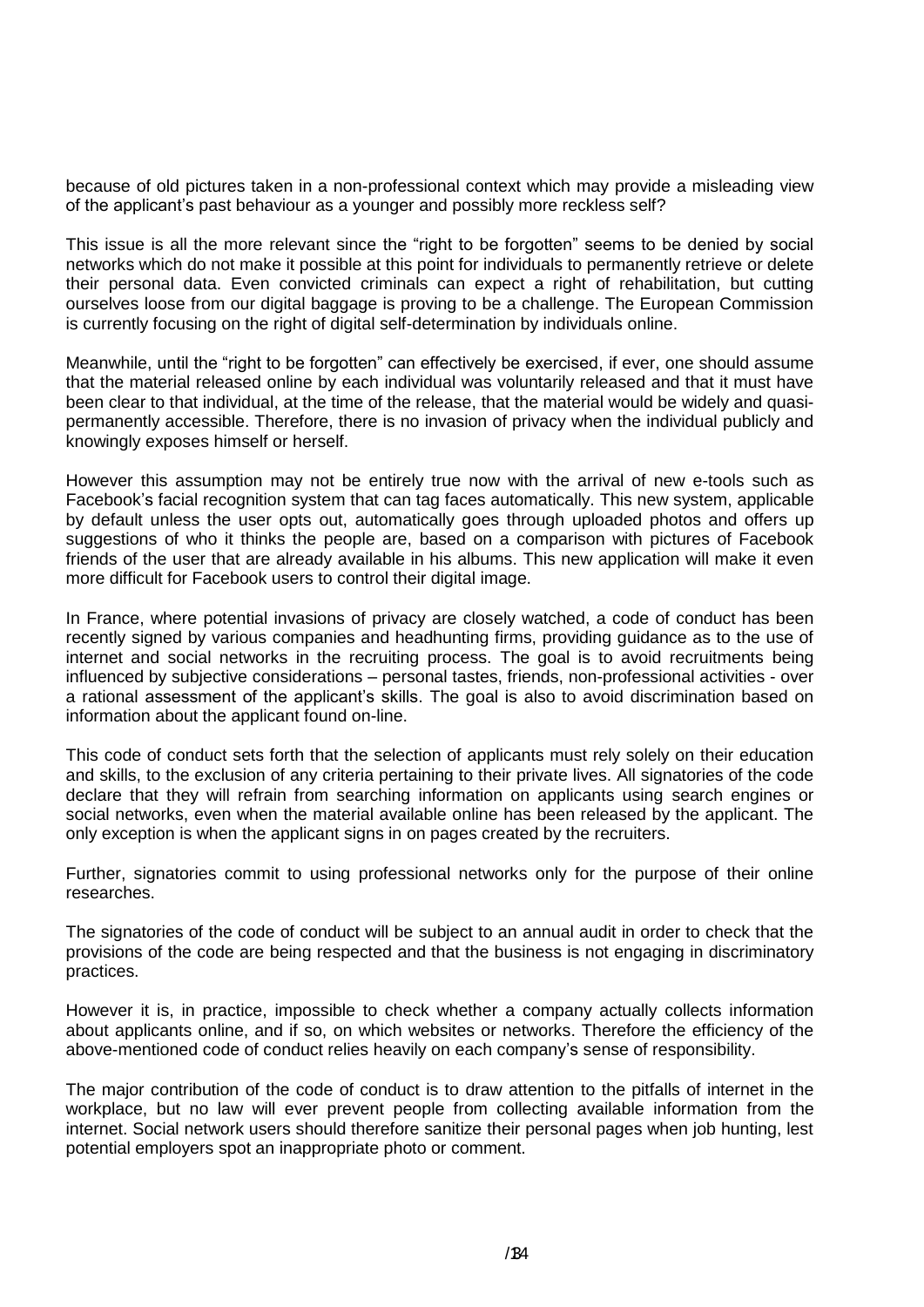because of old pictures taken in a non-professional context which may provide a misleading view of the applicant's past behaviour as a younger and possibly more reckless self?

This issue is all the more relevant since the "right to be forgotten" seems to be denied by social networks which do not make it possible at this point for individuals to permanently retrieve or delete their personal data. Even convicted criminals can expect a right of rehabilitation, but cutting ourselves loose from our digital baggage is proving to be a challenge. The European Commission is currently focusing on the right of digital self-determination by individuals online.

Meanwhile, until the "right to be forgotten" can effectively be exercised, if ever, one should assume that the material released online by each individual was voluntarily released and that it must have been clear to that individual, at the time of the release, that the material would be widely and quasipermanently accessible. Therefore, there is no invasion of privacy when the individual publicly and knowingly exposes himself or herself.

However this assumption may not be entirely true now with the arrival of new e-tools such as Facebook's facial recognition system that can tag faces automatically. This new system, applicable by default unless the user opts out, automatically goes through uploaded photos and offers up suggestions of who it thinks the people are, based on a comparison with pictures of Facebook friends of the user that are already available in his albums. This new application will make it even more difficult for Facebook users to control their digital image.

In France, where potential invasions of privacy are closely watched, a code of conduct has been recently signed by various companies and headhunting firms, providing guidance as to the use of internet and social networks in the recruiting process. The goal is to avoid recruitments being influenced by subjective considerations – personal tastes, friends, non-professional activities - over a rational assessment of the applicant's skills. The goal is also to avoid discrimination based on information about the applicant found on-line.

This code of conduct sets forth that the selection of applicants must rely solely on their education and skills, to the exclusion of any criteria pertaining to their private lives. All signatories of the code declare that they will refrain from searching information on applicants using search engines or social networks, even when the material available online has been released by the applicant. The only exception is when the applicant signs in on pages created by the recruiters.

Further, signatories commit to using professional networks only for the purpose of their online researches.

The signatories of the code of conduct will be subject to an annual audit in order to check that the provisions of the code are being respected and that the business is not engaging in discriminatory practices.

However it is, in practice, impossible to check whether a company actually collects information about applicants online, and if so, on which websites or networks. Therefore the efficiency of the above-mentioned code of conduct relies heavily on each company's sense of responsibility.

The major contribution of the code of conduct is to draw attention to the pitfalls of internet in the workplace, but no law will ever prevent people from collecting available information from the internet. Social network users should therefore sanitize their personal pages when job hunting, lest potential employers spot an inappropriate photo or comment.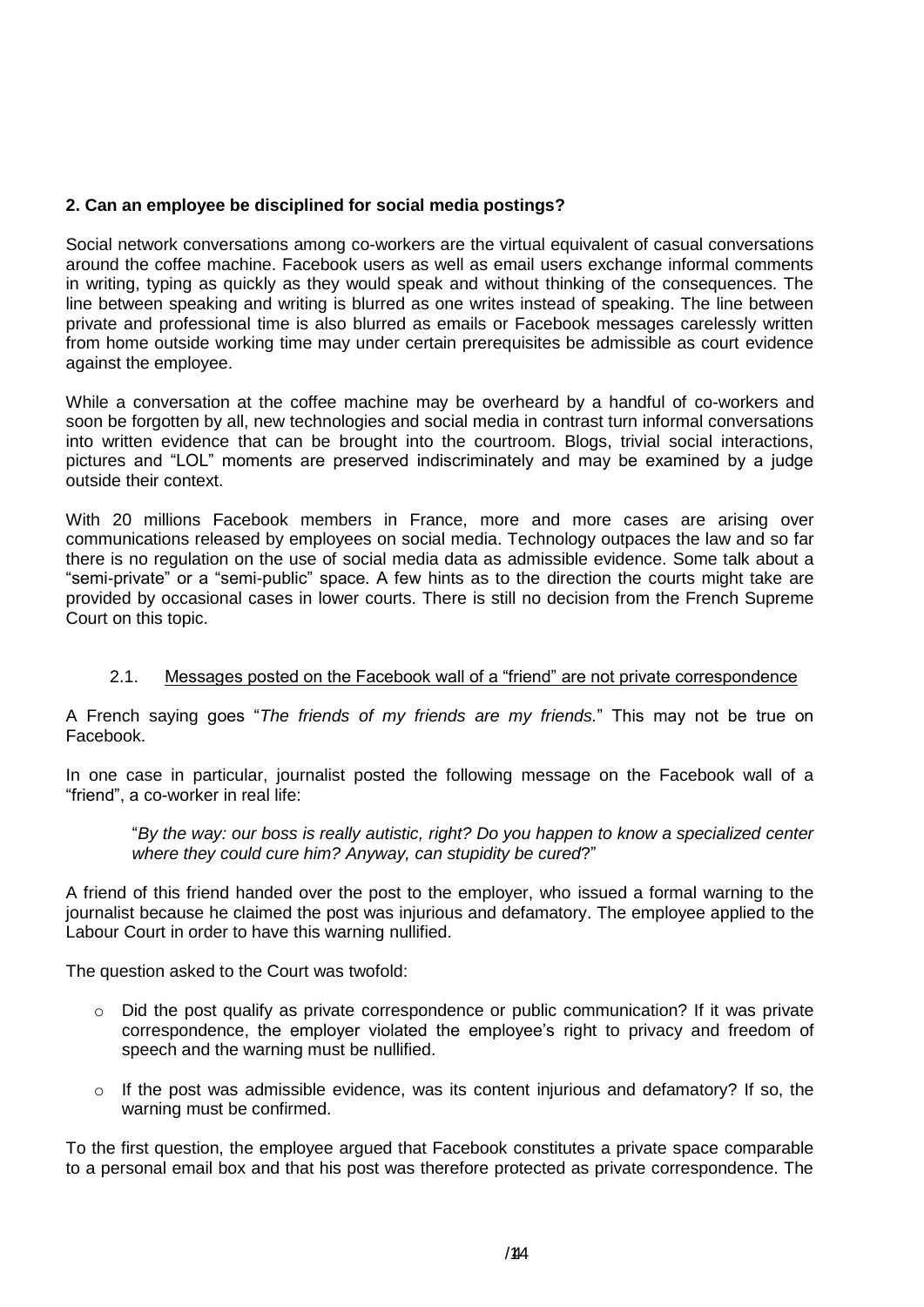# **2. Can an employee be disciplined for social media postings?**

Social network conversations among co-workers are the virtual equivalent of casual conversations around the coffee machine. Facebook users as well as email users exchange informal comments in writing, typing as quickly as they would speak and without thinking of the consequences. The line between speaking and writing is blurred as one writes instead of speaking. The line between private and professional time is also blurred as emails or Facebook messages carelessly written from home outside working time may under certain prerequisites be admissible as court evidence against the employee.

While a conversation at the coffee machine may be overheard by a handful of co-workers and soon be forgotten by all, new technologies and social media in contrast turn informal conversations into written evidence that can be brought into the courtroom. Blogs, trivial social interactions, pictures and "LOL" moments are preserved indiscriminately and may be examined by a judge outside their context.

With 20 millions Facebook members in France, more and more cases are arising over communications released by employees on social media. Technology outpaces the law and so far there is no regulation on the use of social media data as admissible evidence. Some talk about a "semi-private" or a "semi-public" space. A few hints as to the direction the courts might take are provided by occasional cases in lower courts. There is still no decision from the French Supreme Court on this topic.

#### 2.1. Messages posted on the Facebook wall of a "friend" are not private correspondence

A French saying goes "*The friends of my friends are my friends.*" This may not be true on Facebook.

In one case in particular, journalist posted the following message on the Facebook wall of a "friend", a co-worker in real life:

"*By the way: our boss is really autistic, right? Do you happen to know a specialized center where they could cure him? Anyway, can stupidity be cured*?"

A friend of this friend handed over the post to the employer, who issued a formal warning to the journalist because he claimed the post was injurious and defamatory. The employee applied to the Labour Court in order to have this warning nullified.

The question asked to the Court was twofold:

- $\circ$  Did the post qualify as private correspondence or public communication? If it was private correspondence, the employer violated the employee's right to privacy and freedom of speech and the warning must be nullified.
- o If the post was admissible evidence, was its content injurious and defamatory? If so, the warning must be confirmed.

To the first question, the employee argued that Facebook constitutes a private space comparable to a personal email box and that his post was therefore protected as private correspondence. The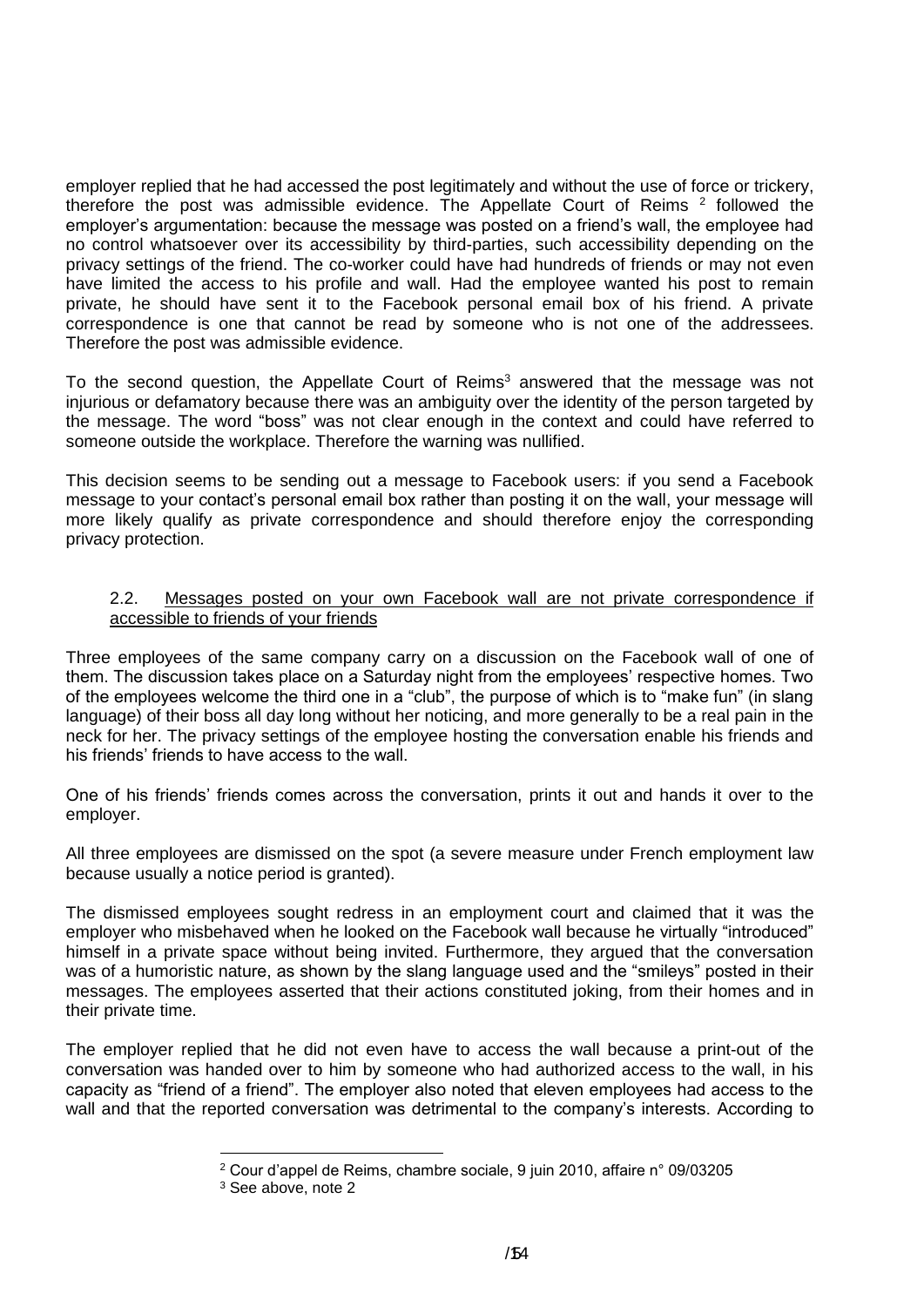employer replied that he had accessed the post legitimately and without the use of force or trickery, therefore the post was admissible evidence. The Appellate Court of Reims  $2$  followed the employer's argumentation: because the message was posted on a friend's wall, the employee had no control whatsoever over its accessibility by third-parties, such accessibility depending on the privacy settings of the friend. The co-worker could have had hundreds of friends or may not even have limited the access to his profile and wall. Had the employee wanted his post to remain private, he should have sent it to the Facebook personal email box of his friend. A private correspondence is one that cannot be read by someone who is not one of the addressees. Therefore the post was admissible evidence.

To the second question, the Appellate Court of Reims<sup>3</sup> answered that the message was not injurious or defamatory because there was an ambiguity over the identity of the person targeted by the message. The word "boss" was not clear enough in the context and could have referred to someone outside the workplace. Therefore the warning was nullified.

This decision seems to be sending out a message to Facebook users: if you send a Facebook message to your contact's personal email box rather than posting it on the wall, your message will more likely qualify as private correspondence and should therefore enjoy the corresponding privacy protection.

#### 2.2. Messages posted on your own Facebook wall are not private correspondence if accessible to friends of your friends

Three employees of the same company carry on a discussion on the Facebook wall of one of them. The discussion takes place on a Saturday night from the employees' respective homes. Two of the employees welcome the third one in a "club", the purpose of which is to "make fun" (in slang language) of their boss all day long without her noticing, and more generally to be a real pain in the neck for her. The privacy settings of the employee hosting the conversation enable his friends and his friends' friends to have access to the wall.

One of his friends' friends comes across the conversation, prints it out and hands it over to the employer.

All three employees are dismissed on the spot (a severe measure under French employment law because usually a notice period is granted).

The dismissed employees sought redress in an employment court and claimed that it was the employer who misbehaved when he looked on the Facebook wall because he virtually "introduced" himself in a private space without being invited. Furthermore, they argued that the conversation was of a humoristic nature, as shown by the slang language used and the "smileys" posted in their messages. The employees asserted that their actions constituted joking, from their homes and in their private time.

The employer replied that he did not even have to access the wall because a print-out of the conversation was handed over to him by someone who had authorized access to the wall, in his capacity as "friend of a friend". The employer also noted that eleven employees had access to the wall and that the reported conversation was detrimental to the company's interests. According to

1

<sup>2</sup> Cour d'appel de Reims, chambre sociale, 9 juin 2010, affaire n° 09/03205

<sup>3</sup> See above, note 2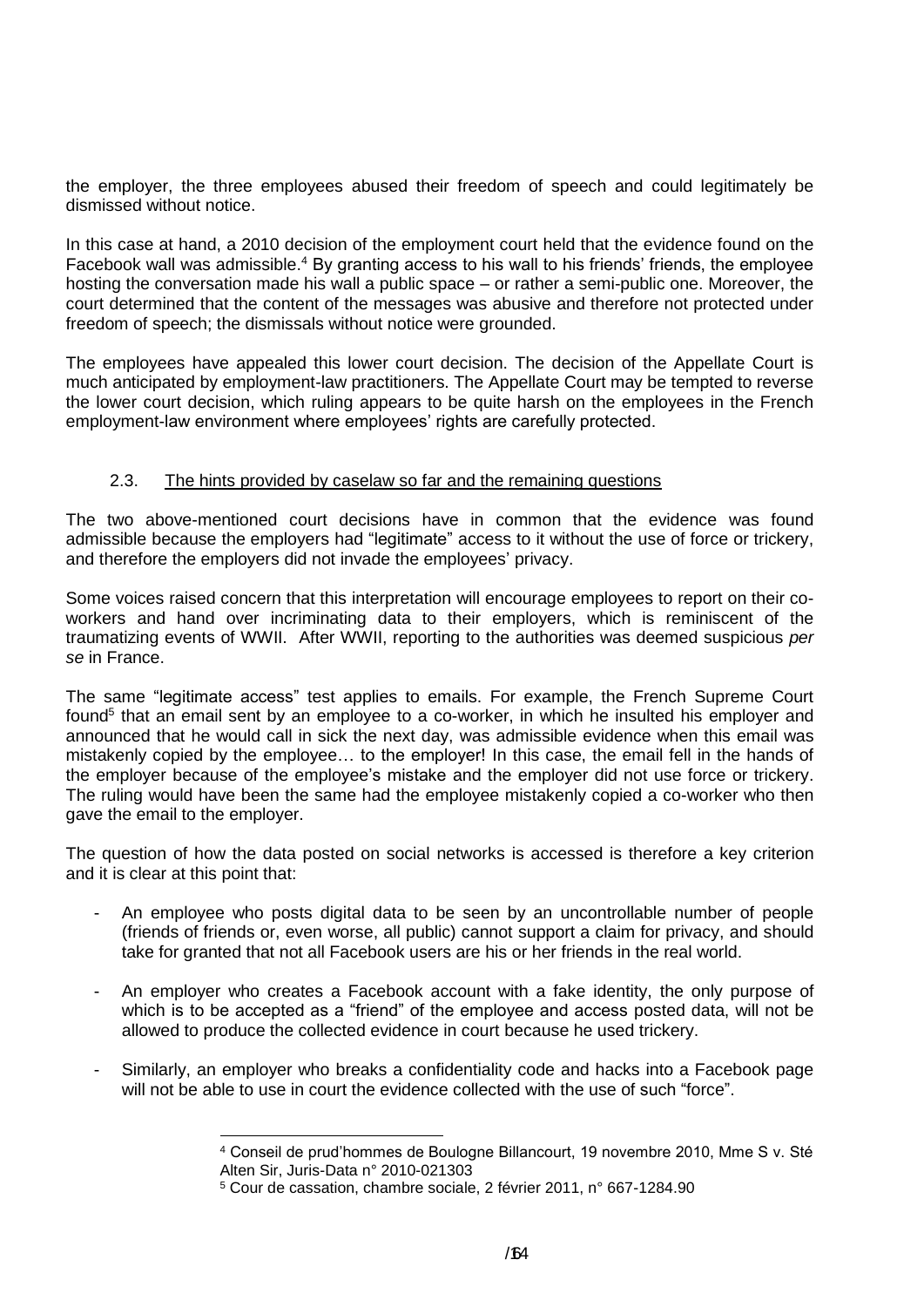the employer, the three employees abused their freedom of speech and could legitimately be dismissed without notice.

In this case at hand, a 2010 decision of the employment court held that the evidence found on the Facebook wall was admissible.<sup>4</sup> By granting access to his wall to his friends' friends, the employee hosting the conversation made his wall a public space – or rather a semi-public one. Moreover, the court determined that the content of the messages was abusive and therefore not protected under freedom of speech; the dismissals without notice were grounded.

The employees have appealed this lower court decision. The decision of the Appellate Court is much anticipated by employment-law practitioners. The Appellate Court may be tempted to reverse the lower court decision, which ruling appears to be quite harsh on the employees in the French employment-law environment where employees' rights are carefully protected.

#### 2.3. The hints provided by caselaw so far and the remaining questions

The two above-mentioned court decisions have in common that the evidence was found admissible because the employers had "legitimate" access to it without the use of force or trickery, and therefore the employers did not invade the employees' privacy.

Some voices raised concern that this interpretation will encourage employees to report on their coworkers and hand over incriminating data to their employers, which is reminiscent of the traumatizing events of WWII. After WWII, reporting to the authorities was deemed suspicious *per se* in France.

The same "legitimate access" test applies to emails. For example, the French Supreme Court found<sup>5</sup> that an email sent by an employee to a co-worker, in which he insulted his employer and announced that he would call in sick the next day, was admissible evidence when this email was mistakenly copied by the employee… to the employer! In this case, the email fell in the hands of the employer because of the employee's mistake and the employer did not use force or trickery. The ruling would have been the same had the employee mistakenly copied a co-worker who then gave the email to the employer.

The question of how the data posted on social networks is accessed is therefore a key criterion and it is clear at this point that:

- An employee who posts digital data to be seen by an uncontrollable number of people (friends of friends or, even worse, all public) cannot support a claim for privacy, and should take for granted that not all Facebook users are his or her friends in the real world.
- An employer who creates a Facebook account with a fake identity, the only purpose of which is to be accepted as a "friend" of the employee and access posted data, will not be allowed to produce the collected evidence in court because he used trickery.
- Similarly, an employer who breaks a confidentiality code and hacks into a Facebook page will not be able to use in court the evidence collected with the use of such "force".

-

<sup>4</sup> Conseil de prud'hommes de Boulogne Billancourt, 19 novembre 2010, Mme S v. Sté Alten Sir, Juris-Data n° 2010-021303

<sup>5</sup> Cour de cassation, chambre sociale, 2 février 2011, n° 667-1284.90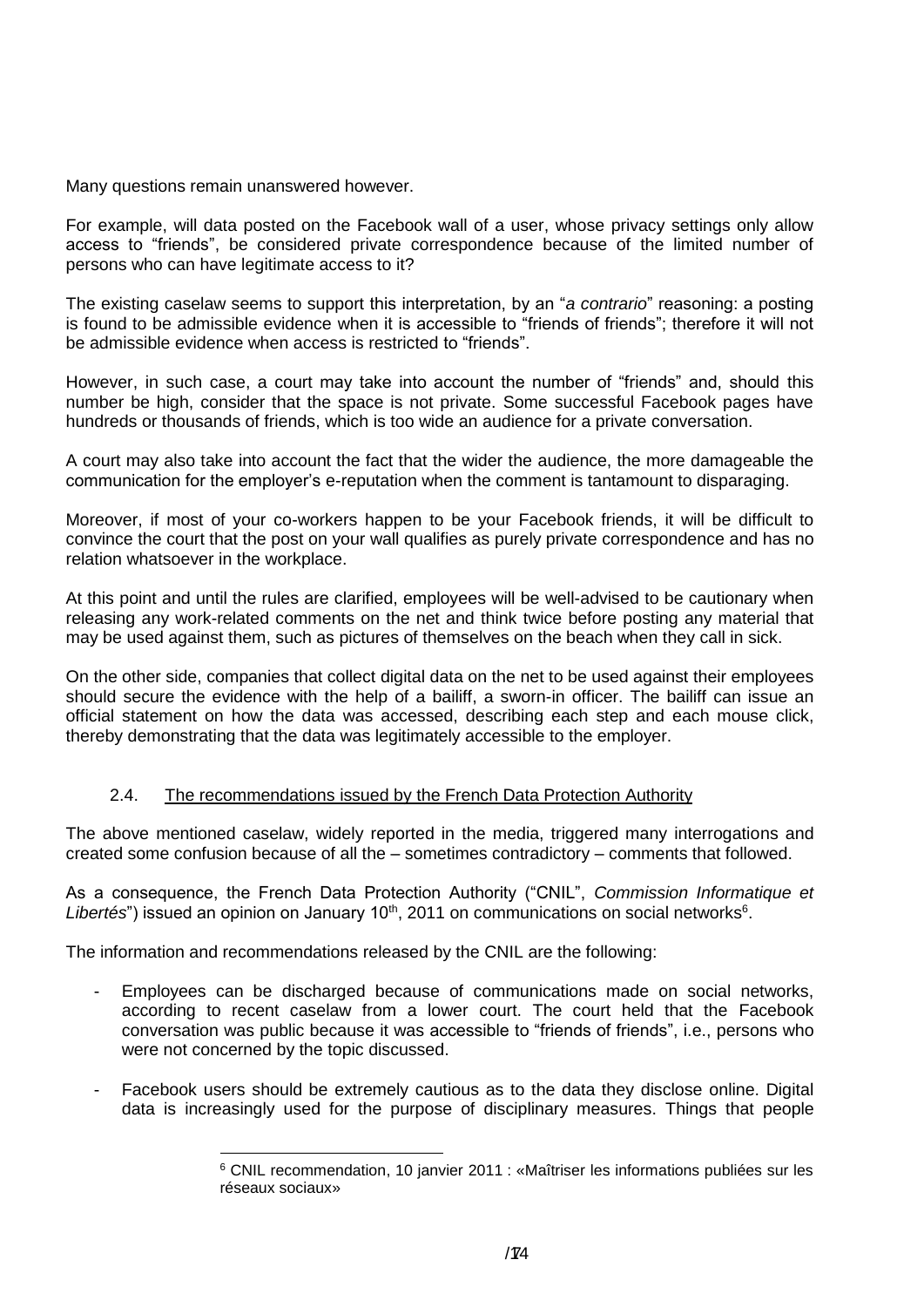Many questions remain unanswered however.

For example, will data posted on the Facebook wall of a user, whose privacy settings only allow access to "friends", be considered private correspondence because of the limited number of persons who can have legitimate access to it?

The existing caselaw seems to support this interpretation, by an "*a contrario*" reasoning: a posting is found to be admissible evidence when it is accessible to "friends of friends"; therefore it will not be admissible evidence when access is restricted to "friends".

However, in such case, a court may take into account the number of "friends" and, should this number be high, consider that the space is not private. Some successful Facebook pages have hundreds or thousands of friends, which is too wide an audience for a private conversation.

A court may also take into account the fact that the wider the audience, the more damageable the communication for the employer's e-reputation when the comment is tantamount to disparaging.

Moreover, if most of your co-workers happen to be your Facebook friends, it will be difficult to convince the court that the post on your wall qualifies as purely private correspondence and has no relation whatsoever in the workplace.

At this point and until the rules are clarified, employees will be well-advised to be cautionary when releasing any work-related comments on the net and think twice before posting any material that may be used against them, such as pictures of themselves on the beach when they call in sick.

On the other side, companies that collect digital data on the net to be used against their employees should secure the evidence with the help of a bailiff, a sworn-in officer. The bailiff can issue an official statement on how the data was accessed, describing each step and each mouse click, thereby demonstrating that the data was legitimately accessible to the employer.

#### 2.4. The recommendations issued by the French Data Protection Authority

The above mentioned caselaw, widely reported in the media, triggered many interrogations and created some confusion because of all the – sometimes contradictory – comments that followed.

As a consequence, the French Data Protection Authority ("CNIL", *Commission Informatique et*  Libertés") issued an opinion on January 10<sup>th</sup>, 2011 on communications on social networks<sup>6</sup>.

The information and recommendations released by the CNIL are the following:

- Employees can be discharged because of communications made on social networks, according to recent caselaw from a lower court. The court held that the Facebook conversation was public because it was accessible to "friends of friends", i.e., persons who were not concerned by the topic discussed.
- Facebook users should be extremely cautious as to the data they disclose online. Digital data is increasingly used for the purpose of disciplinary measures. Things that people

<sup>1</sup> <sup>6</sup> CNIL recommendation, 10 janvier 2011 : «Maîtriser les informations publiées sur les réseaux sociaux»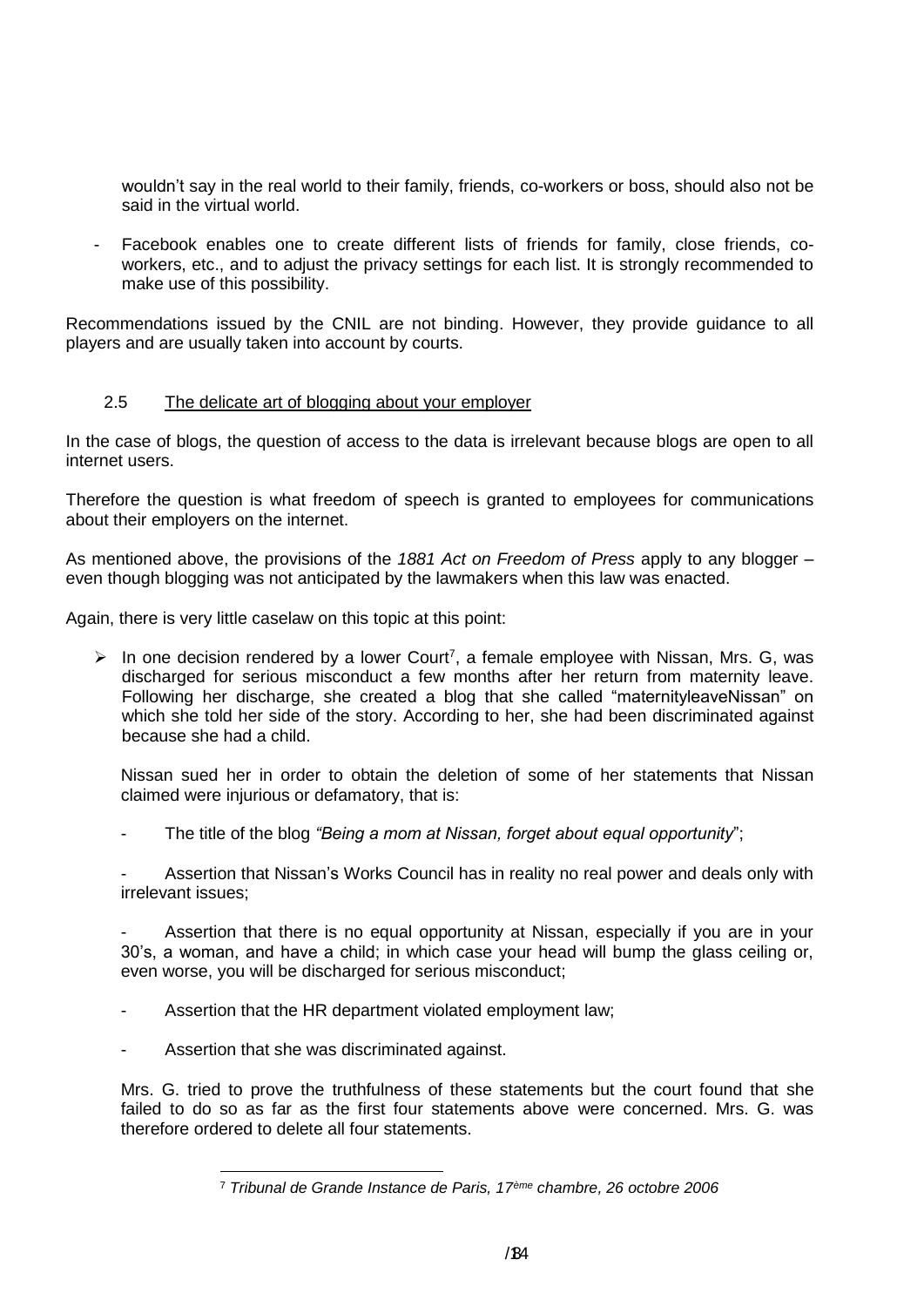wouldn't say in the real world to their family, friends, co-workers or boss, should also not be said in the virtual world.

Facebook enables one to create different lists of friends for family, close friends, coworkers, etc., and to adjust the privacy settings for each list. It is strongly recommended to make use of this possibility.

Recommendations issued by the CNIL are not binding. However, they provide guidance to all players and are usually taken into account by courts.

#### 2.5 The delicate art of blogging about your employer

In the case of blogs, the question of access to the data is irrelevant because blogs are open to all internet users.

Therefore the question is what freedom of speech is granted to employees for communications about their employers on the internet.

As mentioned above, the provisions of the *1881 Act on Freedom of Press* apply to any blogger – even though blogging was not anticipated by the lawmakers when this law was enacted.

Again, there is very little caselaw on this topic at this point:

 $\triangleright$  In one decision rendered by a lower Court<sup>7</sup>, a female employee with Nissan, Mrs. G, was discharged for serious misconduct a few months after her return from maternity leave. Following her discharge, she created a blog that she called "maternityleaveNissan" on which she told her side of the story. According to her, she had been discriminated against because she had a child.

Nissan sued her in order to obtain the deletion of some of her statements that Nissan claimed were injurious or defamatory, that is:

The title of the blog *"Being a mom at Nissan, forget about equal opportunity*";

Assertion that Nissan's Works Council has in reality no real power and deals only with irrelevant issues;

Assertion that there is no equal opportunity at Nissan, especially if you are in your 30's, a woman, and have a child; in which case your head will bump the glass ceiling or, even worse, you will be discharged for serious misconduct;

- Assertion that the HR department violated employment law;
- Assertion that she was discriminated against.

Mrs. G. tried to prove the truthfulness of these statements but the court found that she failed to do so as far as the first four statements above were concerned. Mrs. G. was therefore ordered to delete all four statements.

<sup>1</sup> <sup>7</sup> *Tribunal de Grande Instance de Paris, 17ème chambre, 26 octobre 2006*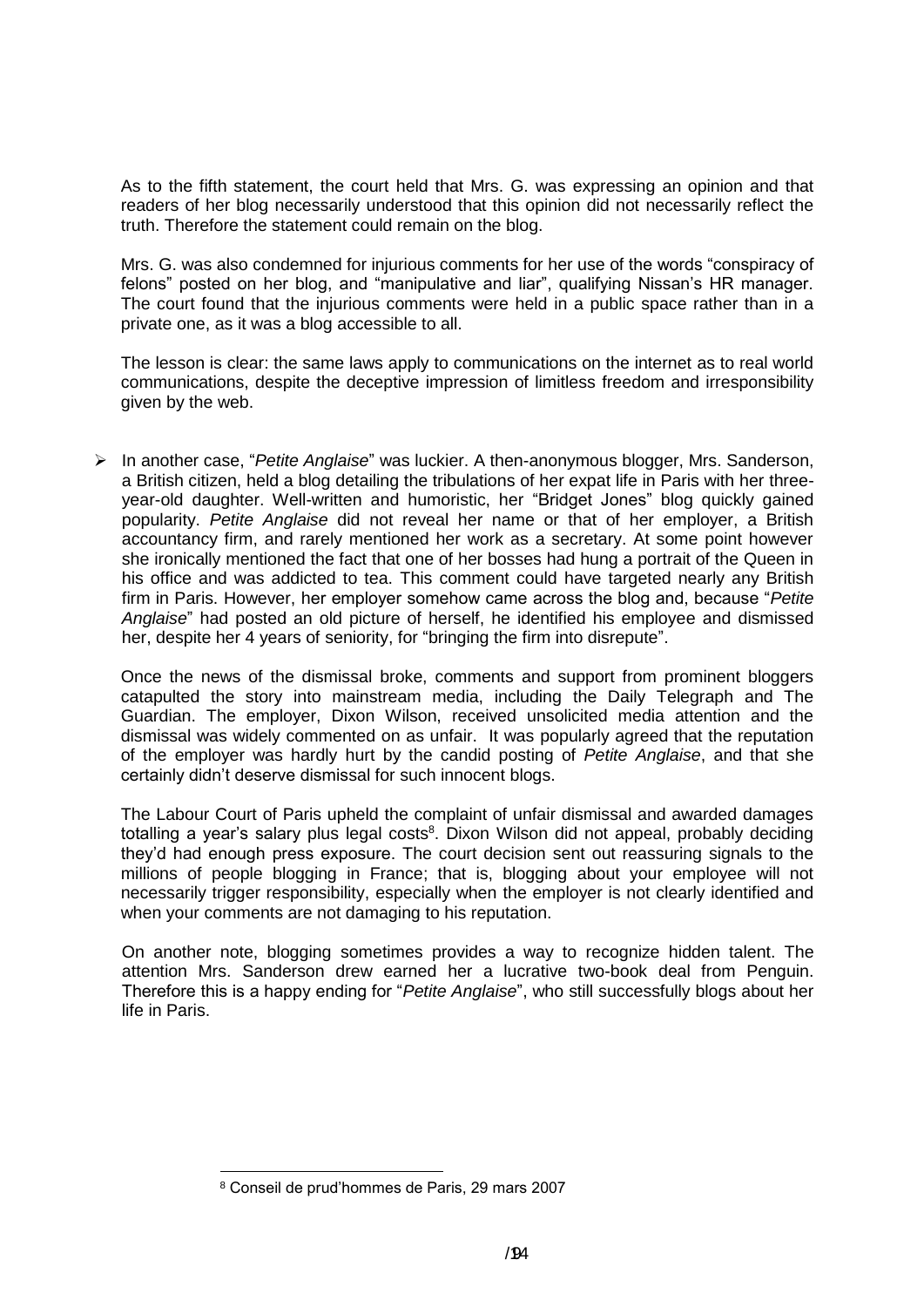As to the fifth statement, the court held that Mrs. G. was expressing an opinion and that readers of her blog necessarily understood that this opinion did not necessarily reflect the truth. Therefore the statement could remain on the blog.

Mrs. G. was also condemned for injurious comments for her use of the words "conspiracy of felons" posted on her blog, and "manipulative and liar", qualifying Nissan's HR manager. The court found that the injurious comments were held in a public space rather than in a private one, as it was a blog accessible to all.

The lesson is clear: the same laws apply to communications on the internet as to real world communications, despite the deceptive impression of limitless freedom and irresponsibility given by the web.

 In another case, "*Petite Anglaise*" was luckier. A then-anonymous blogger, Mrs. Sanderson, a British citizen, held a blog detailing the tribulations of her expat life in Paris with her threeyear-old daughter. Well-written and humoristic, her "Bridget Jones" blog quickly gained popularity. *Petite Anglaise* did not reveal her name or that of her employer, a British accountancy firm, and rarely mentioned her work as a secretary. At some point however she ironically mentioned the fact that one of her bosses had hung a portrait of the Queen in his office and was addicted to tea. This comment could have targeted nearly any British firm in Paris. However, her employer somehow came across the blog and, because "*Petite Anglaise*" had posted an old picture of herself, he identified his employee and dismissed her, despite her 4 years of seniority, for "bringing the firm into disrepute".

Once the news of the dismissal broke, comments and support from prominent bloggers catapulted the story into mainstream media, including the Daily Telegraph and The Guardian. The employer, Dixon Wilson, received unsolicited media attention and the dismissal was widely commented on as unfair. It was popularly agreed that the reputation of the employer was hardly hurt by the candid posting of *Petite Anglaise*, and that she certainly didn't deserve dismissal for such innocent blogs.

The Labour Court of Paris upheld the complaint of unfair dismissal and awarded damages totalling a year's salary plus legal costs<sup>8</sup>. Dixon Wilson did not appeal, probably deciding they'd had enough press exposure. The court decision sent out reassuring signals to the millions of people blogging in France; that is, blogging about your employee will not necessarily trigger responsibility, especially when the employer is not clearly identified and when your comments are not damaging to his reputation.

On another note, blogging sometimes provides a way to recognize hidden talent. The attention Mrs. Sanderson drew earned her a lucrative two-book deal from Penguin. Therefore this is a happy ending for "*Petite Anglaise*", who still successfully blogs about her life in Paris.

1

<sup>8</sup> Conseil de prud'hommes de Paris, 29 mars 2007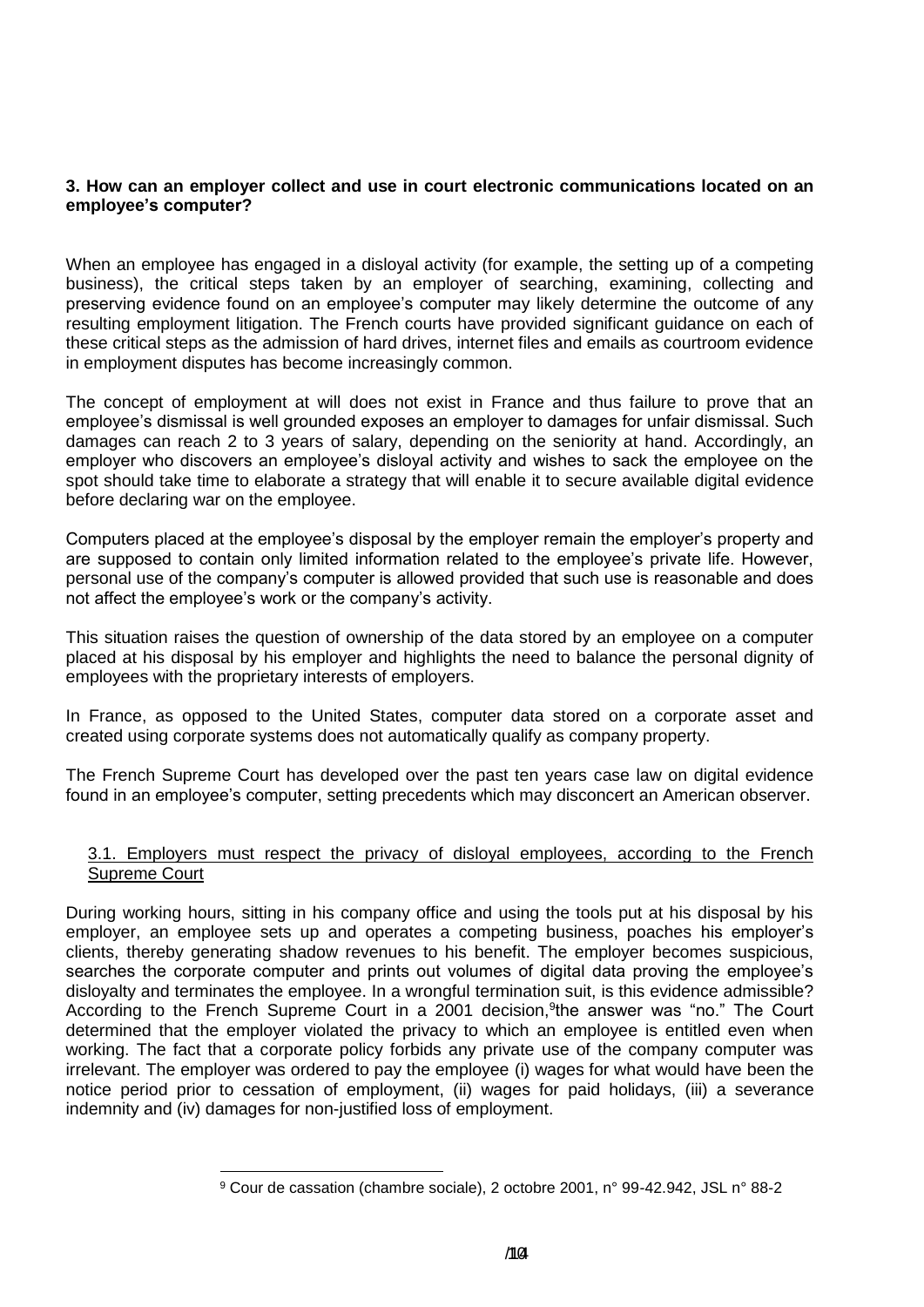### **3. How can an employer collect and use in court electronic communications located on an employee's computer?**

When an employee has engaged in a disloyal activity (for example, the setting up of a competing business), the critical steps taken by an employer of searching, examining, collecting and preserving evidence found on an employee's computer may likely determine the outcome of any resulting employment litigation. The French courts have provided significant guidance on each of these critical steps as the admission of hard drives, internet files and emails as courtroom evidence in employment disputes has become increasingly common.

The concept of employment at will does not exist in France and thus failure to prove that an employee's dismissal is well grounded exposes an employer to damages for unfair dismissal. Such damages can reach 2 to 3 years of salary, depending on the seniority at hand. Accordingly, an employer who discovers an employee's disloyal activity and wishes to sack the employee on the spot should take time to elaborate a strategy that will enable it to secure available digital evidence before declaring war on the employee.

Computers placed at the employee's disposal by the employer remain the employer's property and are supposed to contain only limited information related to the employee's private life. However, personal use of the company's computer is allowed provided that such use is reasonable and does not affect the employee's work or the company's activity.

This situation raises the question of ownership of the data stored by an employee on a computer placed at his disposal by his employer and highlights the need to balance the personal dignity of employees with the proprietary interests of employers.

In France, as opposed to the United States, computer data stored on a corporate asset and created using corporate systems does not automatically qualify as company property.

The French Supreme Court has developed over the past ten years case law on digital evidence found in an employee's computer, setting precedents which may disconcert an American observer.

#### 3.1. Employers must respect the privacy of disloyal employees, according to the French Supreme Court

During working hours, sitting in his company office and using the tools put at his disposal by his employer, an employee sets up and operates a competing business, poaches his employer's clients, thereby generating shadow revenues to his benefit. The employer becomes suspicious, searches the corporate computer and prints out volumes of digital data proving the employee's disloyalty and terminates the employee. In a wrongful termination suit, is this evidence admissible? According to the French Supreme Court in a 2001 decision, <sup>9</sup>the answer was "no." The Court determined that the employer violated the privacy to which an employee is entitled even when working. The fact that a corporate policy forbids any private use of the company computer was irrelevant. The employer was ordered to pay the employee (i) wages for what would have been the notice period prior to cessation of employment, (ii) wages for paid holidays, (iii) a severance indemnity and (iv) damages for non-justified loss of employment.

<sup>1</sup> <sup>9</sup> Cour de cassation (chambre sociale), 2 octobre 2001, n° 99-42.942, JSL n° 88-2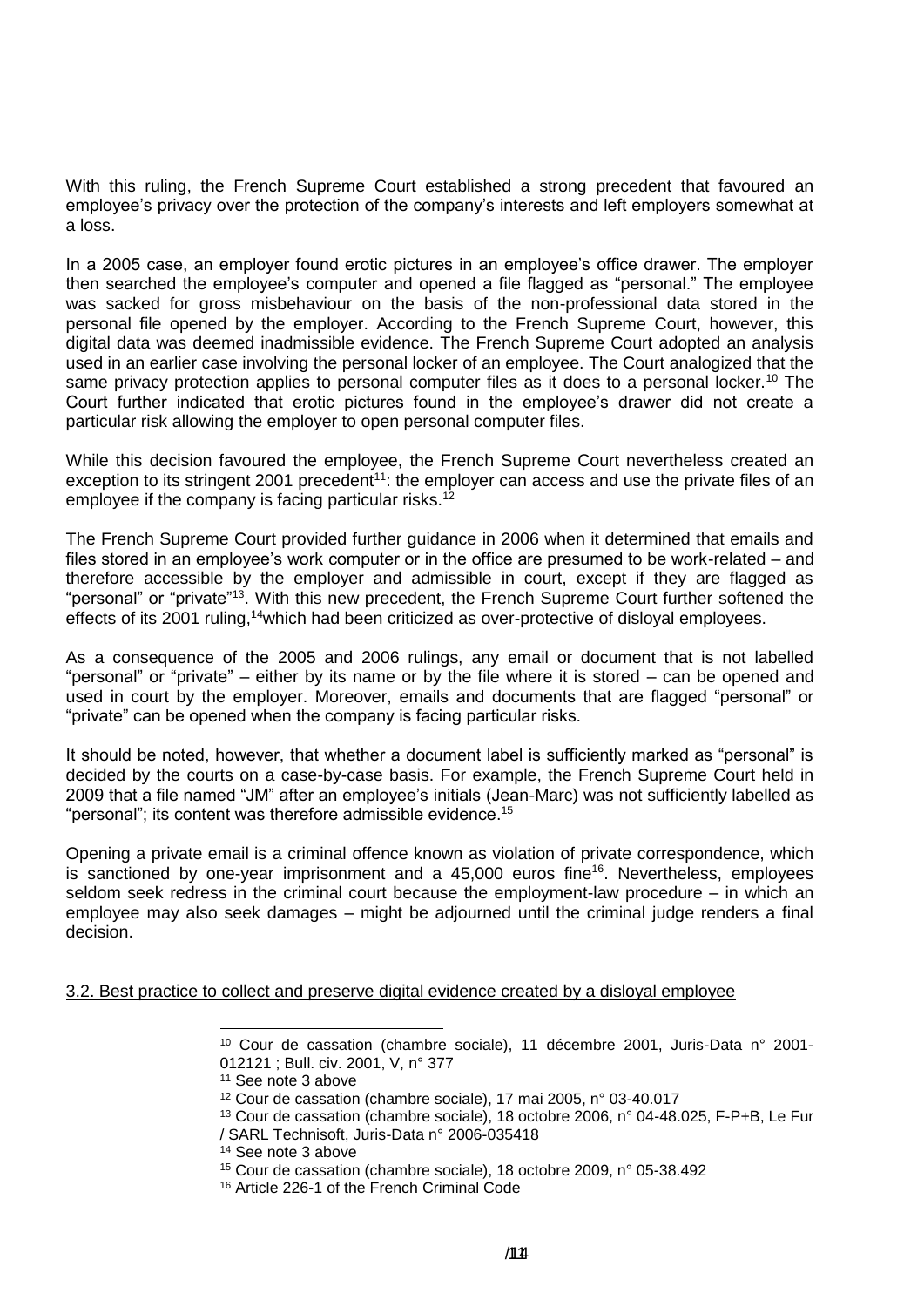With this ruling, the French Supreme Court established a strong precedent that favoured an employee's privacy over the protection of the company's interests and left employers somewhat at a loss.

In a 2005 case, an employer found erotic pictures in an employee's office drawer. The employer then searched the employee's computer and opened a file flagged as "personal." The employee was sacked for gross misbehaviour on the basis of the non-professional data stored in the personal file opened by the employer. According to the French Supreme Court, however, this digital data was deemed inadmissible evidence. The French Supreme Court adopted an analysis used in an earlier case involving the personal locker of an employee. The Court analogized that the same privacy protection applies to personal computer files as it does to a personal locker.<sup>10</sup> The Court further indicated that erotic pictures found in the employee's drawer did not create a particular risk allowing the employer to open personal computer files.

While this decision favoured the employee, the French Supreme Court nevertheless created an exception to its stringent 2001 precedent<sup>11</sup>: the employer can access and use the private files of an employee if the company is facing particular risks.<sup>12</sup>

The French Supreme Court provided further guidance in 2006 when it determined that emails and files stored in an employee's work computer or in the office are presumed to be work-related – and therefore accessible by the employer and admissible in court, except if they are flagged as "personal" or "private"<sup>13</sup>. With this new precedent, the French Supreme Court further softened the effects of its 2001 ruling,<sup>14</sup>which had been criticized as over-protective of disloval employees.

As a consequence of the 2005 and 2006 rulings, any email or document that is not labelled "personal" or "private" – either by its name or by the file where it is stored – can be opened and used in court by the employer. Moreover, emails and documents that are flagged "personal" or "private" can be opened when the company is facing particular risks.

It should be noted, however, that whether a document label is sufficiently marked as "personal" is decided by the courts on a case-by-case basis. For example, the French Supreme Court held in 2009 that a file named "JM" after an employee's initials (Jean-Marc) was not sufficiently labelled as "personal"; its content was therefore admissible evidence.<sup>15</sup>

Opening a private email is a criminal offence known as violation of private correspondence, which is sanctioned by one-year imprisonment and a  $45,000$  euros fine<sup>16</sup>. Nevertheless, employees seldom seek redress in the criminal court because the employment-law procedure – in which an employee may also seek damages – might be adjourned until the criminal judge renders a final decision.

3.2. Best practice to collect and preserve digital evidence created by a disloyal employee

 $\overline{a}$ 

<sup>10</sup> Cour de cassation (chambre sociale), 11 décembre 2001, Juris-Data n° 2001- 012121 ; Bull. civ. 2001, V, n° 377

<sup>11</sup> See note 3 above

<sup>12</sup> Cour de cassation (chambre sociale), 17 mai 2005, n° 03-40.017

<sup>13</sup> Cour de cassation (chambre sociale), 18 octobre 2006, n° 04-48.025, F-P+B, Le Fur / SARL Technisoft, Juris-Data n° 2006-035418

<sup>14</sup> See note 3 above

<sup>15</sup> Cour de cassation (chambre sociale), 18 octobre 2009, n° 05-38.492

<sup>16</sup> Article 226-1 of the French Criminal Code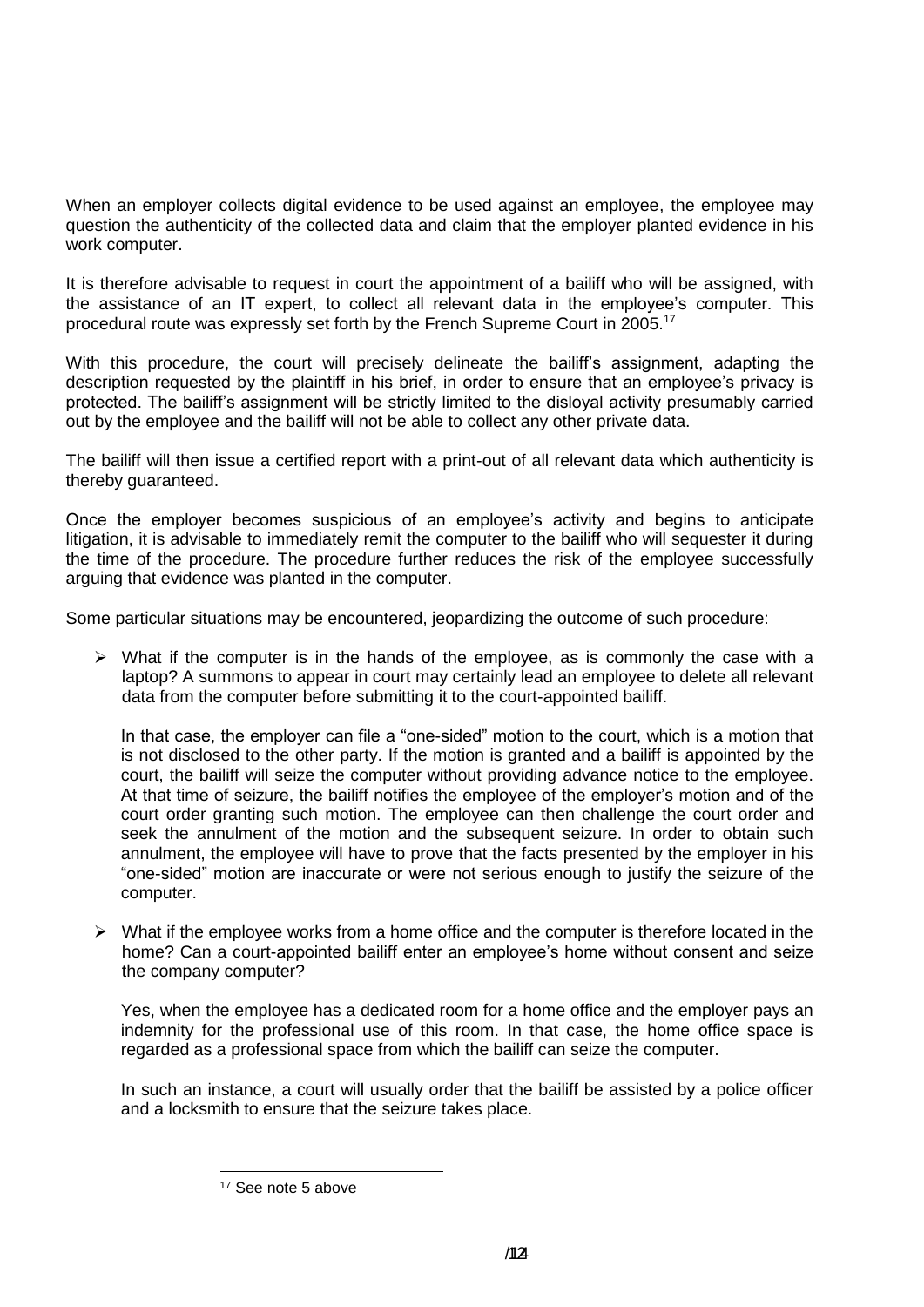When an employer collects digital evidence to be used against an employee, the employee may question the authenticity of the collected data and claim that the employer planted evidence in his work computer.

It is therefore advisable to request in court the appointment of a bailiff who will be assigned, with the assistance of an IT expert, to collect all relevant data in the employee's computer. This procedural route was expressly set forth by the French Supreme Court in 2005.<sup>17</sup>

With this procedure, the court will precisely delineate the bailiff's assignment, adapting the description requested by the plaintiff in his brief, in order to ensure that an employee's privacy is protected. The bailiff's assignment will be strictly limited to the disloyal activity presumably carried out by the employee and the bailiff will not be able to collect any other private data.

The bailiff will then issue a certified report with a print-out of all relevant data which authenticity is thereby guaranteed.

Once the employer becomes suspicious of an employee's activity and begins to anticipate litigation, it is advisable to immediately remit the computer to the bailiff who will sequester it during the time of the procedure. The procedure further reduces the risk of the employee successfully arguing that evidence was planted in the computer.

Some particular situations may be encountered, jeopardizing the outcome of such procedure:

 $\triangleright$  What if the computer is in the hands of the employee, as is commonly the case with a laptop? A summons to appear in court may certainly lead an employee to delete all relevant data from the computer before submitting it to the court-appointed bailiff.

In that case, the employer can file a "one-sided" motion to the court, which is a motion that is not disclosed to the other party. If the motion is granted and a bailiff is appointed by the court, the bailiff will seize the computer without providing advance notice to the employee. At that time of seizure, the bailiff notifies the employee of the employer's motion and of the court order granting such motion. The employee can then challenge the court order and seek the annulment of the motion and the subsequent seizure. In order to obtain such annulment, the employee will have to prove that the facts presented by the employer in his "one-sided" motion are inaccurate or were not serious enough to justify the seizure of the computer.

 $\triangleright$  What if the employee works from a home office and the computer is therefore located in the home? Can a court-appointed bailiff enter an employee's home without consent and seize the company computer?

Yes, when the employee has a dedicated room for a home office and the employer pays an indemnity for the professional use of this room. In that case, the home office space is regarded as a professional space from which the bailiff can seize the computer.

In such an instance, a court will usually order that the bailiff be assisted by a police officer and a locksmith to ensure that the seizure takes place.

1

<sup>17</sup> See note 5 above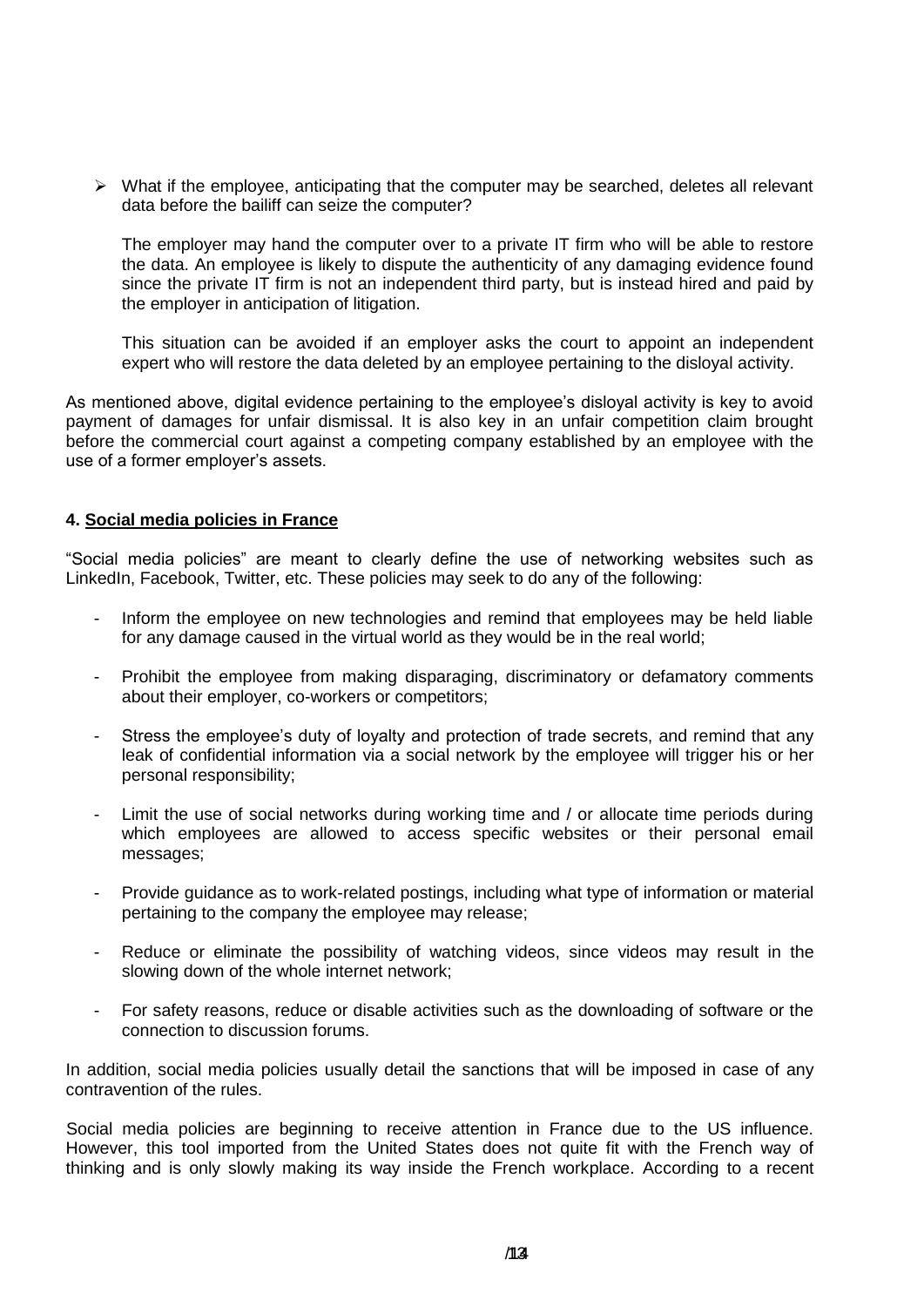$\triangleright$  What if the employee, anticipating that the computer may be searched, deletes all relevant data before the bailiff can seize the computer?

The employer may hand the computer over to a private IT firm who will be able to restore the data. An employee is likely to dispute the authenticity of any damaging evidence found since the private IT firm is not an independent third party, but is instead hired and paid by the employer in anticipation of litigation.

This situation can be avoided if an employer asks the court to appoint an independent expert who will restore the data deleted by an employee pertaining to the disloyal activity.

As mentioned above, digital evidence pertaining to the employee's disloyal activity is key to avoid payment of damages for unfair dismissal. It is also key in an unfair competition claim brought before the commercial court against a competing company established by an employee with the use of a former employer's assets.

#### **4. Social media policies in France**

"Social media policies" are meant to clearly define the use of networking websites such as LinkedIn, Facebook, Twitter, etc. These policies may seek to do any of the following:

- Inform the employee on new technologies and remind that employees may be held liable for any damage caused in the virtual world as they would be in the real world;
- Prohibit the employee from making disparaging, discriminatory or defamatory comments about their employer, co-workers or competitors;
- Stress the employee's duty of loyalty and protection of trade secrets, and remind that any leak of confidential information via a social network by the employee will trigger his or her personal responsibility;
- Limit the use of social networks during working time and / or allocate time periods during which employees are allowed to access specific websites or their personal email messages;
- Provide guidance as to work-related postings, including what type of information or material pertaining to the company the employee may release;
- Reduce or eliminate the possibility of watching videos, since videos may result in the slowing down of the whole internet network;
- For safety reasons, reduce or disable activities such as the downloading of software or the connection to discussion forums.

In addition, social media policies usually detail the sanctions that will be imposed in case of any contravention of the rules.

Social media policies are beginning to receive attention in France due to the US influence. However, this tool imported from the United States does not quite fit with the French way of thinking and is only slowly making its way inside the French workplace. According to a recent